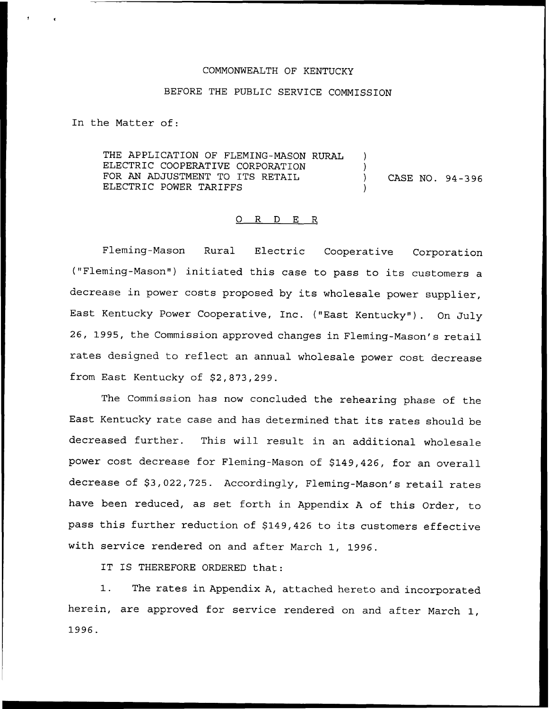#### COMMONWEALTH OF KENTUCKY

## BEFORE THE PUBLIC SERVICE COMMISSION

In the Matter of:

THE APPLICATION OF FLEMING-MASON RURAL ) ELECTRIC COOPERATIVE CORPORATION FOR AN ADJUSTMENT TO ITS RETAIL (CASE NO. 94-396) ELECTRIC POWER TARIFFS

#### 0 R <sup>D</sup> E R

Fleming-Mason Rural Electric Cooperative Corporation ("Fleming-Mason") initiated this case to pass to its customers a decrease in power costs proposed by its wholesale power supplier, East Kentucky Power Cooperative, Inc. ("East Kentucky"). On July 26, 1995, the Commission approved changes in Fleming-Mason's retail rates designed to reflect an annual wholesale power cost decrease from East Kentucky of \$2,873,299.

The Commission has now concluded the rehearing phase of the East Kentucky rate case and has determined that its rates should be decreased further. This will result in an additional wholesale power cost decrease for Fleming-Mason of \$149,426, for an overall decrease of \$3,022,725. Accordingly, Fleming-Mason's retail rates have been reduced, as set forth in Appendix <sup>A</sup> of this Order, to pass this further reduction of \$149,426 to its customers effective with service rendered on and after March 1, 1996.

IT IS THEREFORE ORDERED that:

1. The rates in Appendix A, attached hereto and incorporated herein, are approved for service rendered on and after March 1, 1996.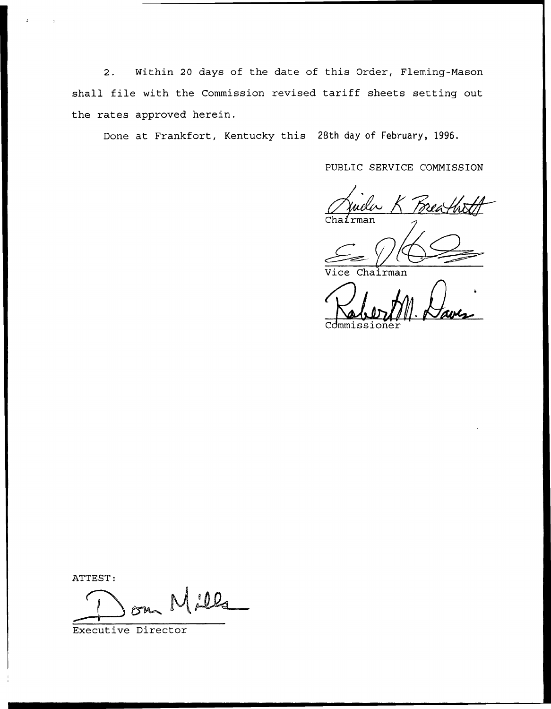2. Within 20 days of the date of this Order, Fleming-Mason shall file with the Commission revised tariff sheets setting out the rates approved herein.

Done at Frankfort, Kentucky this 28th day of February, 1996.

PUBLIC SERVICE COMMISSION

 $Chafrma$ 

hairman

Commissione

ATTEST:

 $0.02$ 

Executive Director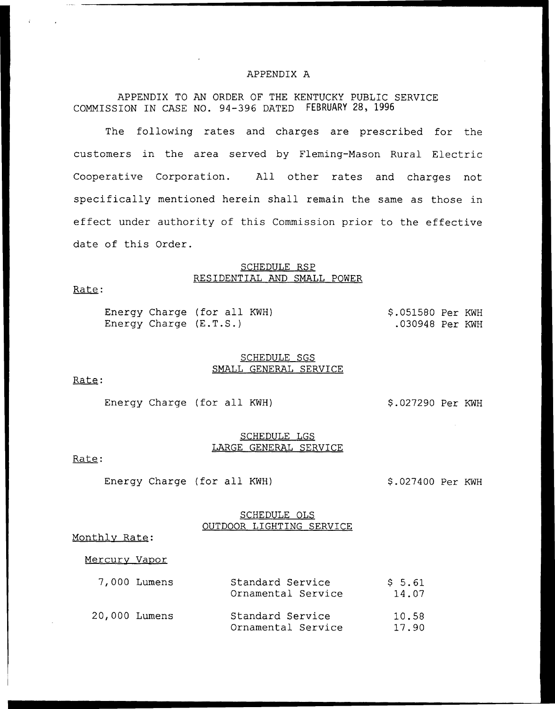#### APPENDIX A

APPENDIX TO AN ORDER OF THE KENTUCKY PUBLIC SERVICE COMMISSION IN CASE NO. 94-396 DATED FEBRUARY 28, 1996

The following rates and charges are prescribed for the customers in the area served by Fleming-Mason Rural Electric Cooperative Corporation. All other rates and charges not specifically mentioned herein shall remain the same as those in effect under authority of this Commission prior to the effective date of this Order.

### SCHEDULE RSP RESIDENTIAL AND SMALL POWER

Rate:

Energy Charge (for all KWH) \$.051580 Per KWH<br>Energy Charge (E.T.S.) .030948 Per KWH .030948 Per KWH

#### SCHEDULE SGS SMALL GENERAL SERVICE

Rate:

Energy Charge (for all KWH)  $$.027290$  Per KWH

#### SCHEDULE LGS LARGE GENERAL SERVICE

Rate:

Energy Charge (for all KWH)  $$.027400$  Per KWH

#### SCHEDULE OLS OUTDOOR LIGHTING SERVICE

Monthlv Rate:

#### Mercury Vapor

|               | 7,000 Lumens | Standard Service<br>Ornamental Service | \$5.61<br>14.07 |
|---------------|--------------|----------------------------------------|-----------------|
| 20,000 Lumens |              | Standard Service<br>Ornamental Service | 10.58<br>17.90  |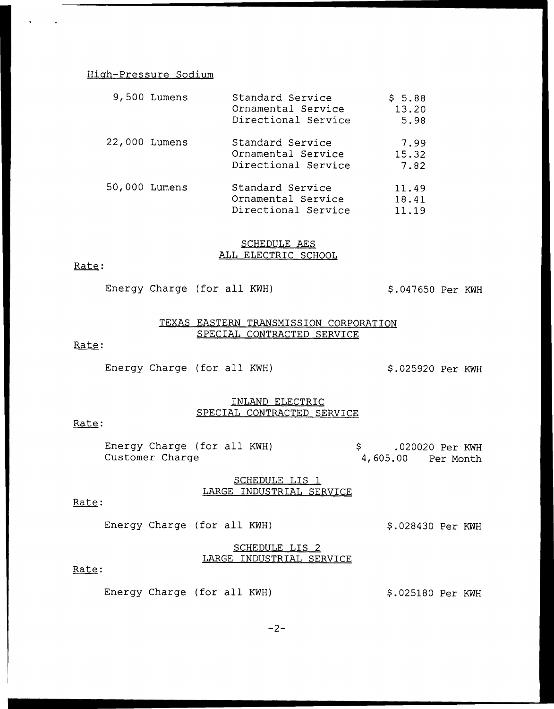### Hiah-Pressure Sodium

|               | 9,500 Lumens | Standard Service<br>Ornamental Service<br>Directional Service | \$5.88<br>13.20<br>5.98 |
|---------------|--------------|---------------------------------------------------------------|-------------------------|
| 22,000 Lumens |              | Standard Service<br>Ornamental Service<br>Directional Service | 7.99<br>15.32<br>7.82   |
| 50,000 Lumens |              | Standard Service<br>Ornamental Service<br>Directional Service | 11.49<br>18.41<br>11.19 |

#### SCHEDULE AES ALL ELECTRIC SCHOOL

### Rate;

Energy Charge (for all KWH)  $$.047650$  Per KWH

### TEXAS EASTERN TRANSMISSION CORPORATION SPECIAL CONTRACTED SERVICE

# Rate:

Energy Charge (for all KWH)  $$.025920$  Per KWH

### INLAND ELECTRIC SPECIAL CONTRACTED SERVICE

## Rate:

Energy Charge (for all KWH) Customer Charge .020020 Per KWH 4, 605.00 Per Month

#### SCHEDULE LIS<sub>1</sub> LARGE INDUSTRIAL SERVICE

### Rate:

Energy Charge (for all KWH)  $$.028430$  Per KWH

### SCHEDULE LIS 2 LARGE INDUSTRIAL SERVICE

Rate:

Energy Charge (for all KWH)  $$.025180$  Per KWH

 $-2-$